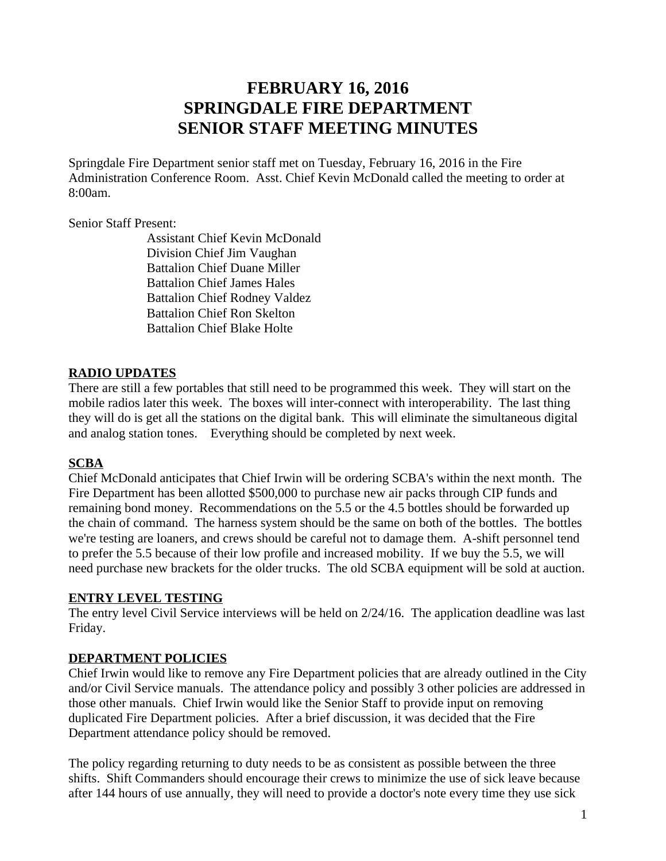# **FEBRUARY 16, 2016 SPRINGDALE FIRE DEPARTMENT SENIOR STAFF MEETING MINUTES**

Springdale Fire Department senior staff met on Tuesday, February 16, 2016 in the Fire Administration Conference Room. Asst. Chief Kevin McDonald called the meeting to order at 8:00am.

Senior Staff Present:

Assistant Chief Kevin McDonald Division Chief Jim Vaughan Battalion Chief Duane Miller Battalion Chief James Hales Battalion Chief Rodney Valdez Battalion Chief Ron Skelton Battalion Chief Blake Holte

## **RADIO UPDATES**

There are still a few portables that still need to be programmed this week. They will start on the mobile radios later this week. The boxes will inter-connect with interoperability. The last thing they will do is get all the stations on the digital bank. This will eliminate the simultaneous digital and analog station tones. Everything should be completed by next week.

### **SCBA**

Chief McDonald anticipates that Chief Irwin will be ordering SCBA's within the next month. The Fire Department has been allotted \$500,000 to purchase new air packs through CIP funds and remaining bond money. Recommendations on the 5.5 or the 4.5 bottles should be forwarded up the chain of command. The harness system should be the same on both of the bottles. The bottles we're testing are loaners, and crews should be careful not to damage them. A-shift personnel tend to prefer the 5.5 because of their low profile and increased mobility. If we buy the 5.5, we will need purchase new brackets for the older trucks. The old SCBA equipment will be sold at auction.

### **ENTRY LEVEL TESTING**

The entry level Civil Service interviews will be held on 2/24/16. The application deadline was last Friday.

### **DEPARTMENT POLICIES**

Chief Irwin would like to remove any Fire Department policies that are already outlined in the City and/or Civil Service manuals. The attendance policy and possibly 3 other policies are addressed in those other manuals. Chief Irwin would like the Senior Staff to provide input on removing duplicated Fire Department policies. After a brief discussion, it was decided that the Fire Department attendance policy should be removed.

The policy regarding returning to duty needs to be as consistent as possible between the three shifts. Shift Commanders should encourage their crews to minimize the use of sick leave because after 144 hours of use annually, they will need to provide a doctor's note every time they use sick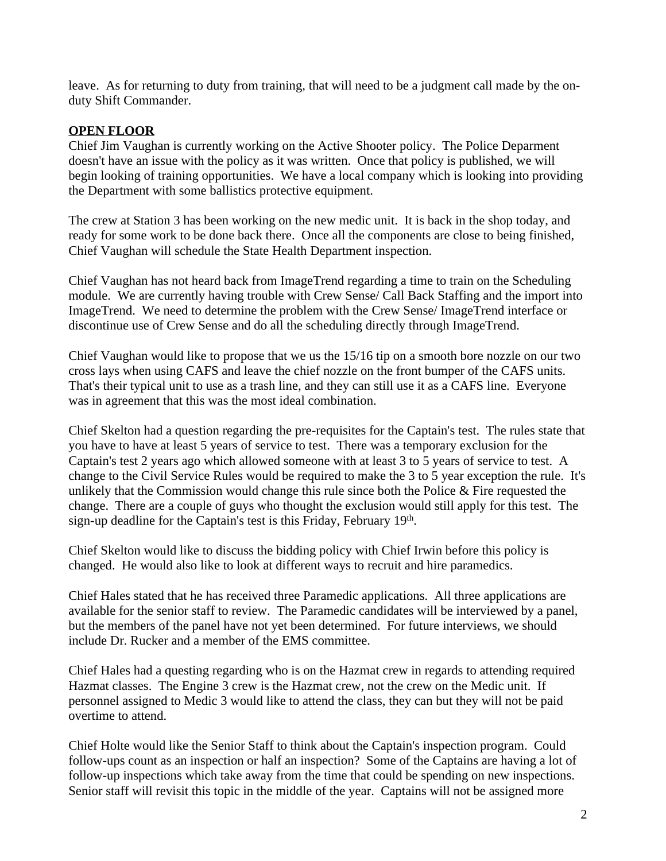leave. As for returning to duty from training, that will need to be a judgment call made by the onduty Shift Commander.

#### **OPEN FLOOR**

Chief Jim Vaughan is currently working on the Active Shooter policy. The Police Deparment doesn't have an issue with the policy as it was written. Once that policy is published, we will begin looking of training opportunities. We have a local company which is looking into providing the Department with some ballistics protective equipment.

The crew at Station 3 has been working on the new medic unit. It is back in the shop today, and ready for some work to be done back there. Once all the components are close to being finished, Chief Vaughan will schedule the State Health Department inspection.

Chief Vaughan has not heard back from ImageTrend regarding a time to train on the Scheduling module. We are currently having trouble with Crew Sense/ Call Back Staffing and the import into ImageTrend. We need to determine the problem with the Crew Sense/ ImageTrend interface or discontinue use of Crew Sense and do all the scheduling directly through ImageTrend.

Chief Vaughan would like to propose that we us the 15/16 tip on a smooth bore nozzle on our two cross lays when using CAFS and leave the chief nozzle on the front bumper of the CAFS units. That's their typical unit to use as a trash line, and they can still use it as a CAFS line. Everyone was in agreement that this was the most ideal combination.

Chief Skelton had a question regarding the pre-requisites for the Captain's test. The rules state that you have to have at least 5 years of service to test. There was a temporary exclusion for the Captain's test 2 years ago which allowed someone with at least 3 to 5 years of service to test. A change to the Civil Service Rules would be required to make the 3 to 5 year exception the rule. It's unlikely that the Commission would change this rule since both the Police  $\&$  Fire requested the change. There are a couple of guys who thought the exclusion would still apply for this test. The sign-up deadline for the Captain's test is this Friday, February 19th.

Chief Skelton would like to discuss the bidding policy with Chief Irwin before this policy is changed. He would also like to look at different ways to recruit and hire paramedics.

Chief Hales stated that he has received three Paramedic applications. All three applications are available for the senior staff to review. The Paramedic candidates will be interviewed by a panel, but the members of the panel have not yet been determined. For future interviews, we should include Dr. Rucker and a member of the EMS committee.

Chief Hales had a questing regarding who is on the Hazmat crew in regards to attending required Hazmat classes. The Engine 3 crew is the Hazmat crew, not the crew on the Medic unit. If personnel assigned to Medic 3 would like to attend the class, they can but they will not be paid overtime to attend.

Chief Holte would like the Senior Staff to think about the Captain's inspection program. Could follow-ups count as an inspection or half an inspection? Some of the Captains are having a lot of follow-up inspections which take away from the time that could be spending on new inspections. Senior staff will revisit this topic in the middle of the year. Captains will not be assigned more